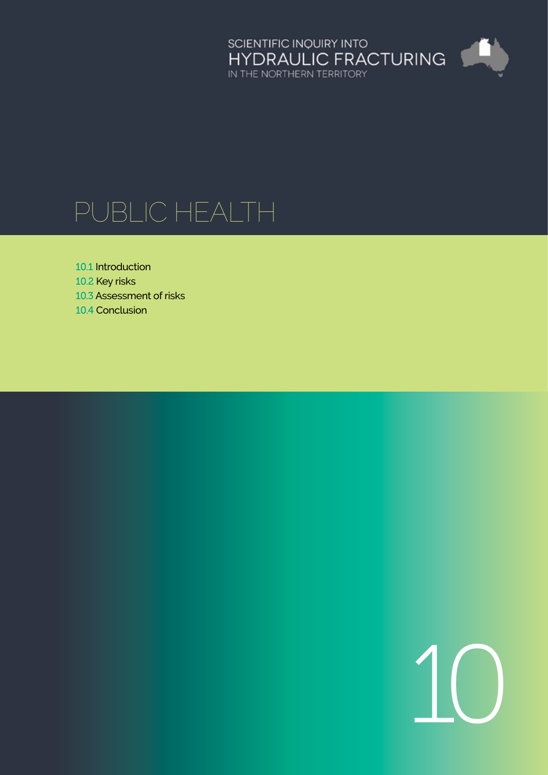

# Public health

10.1 [Introduction](#page-1-0)

- 10.2 [Key risks](#page-8-0)
- 10.3 [Assessment of risks](#page-10-0)
- 10.4 [Conclusion](#page-20-0)

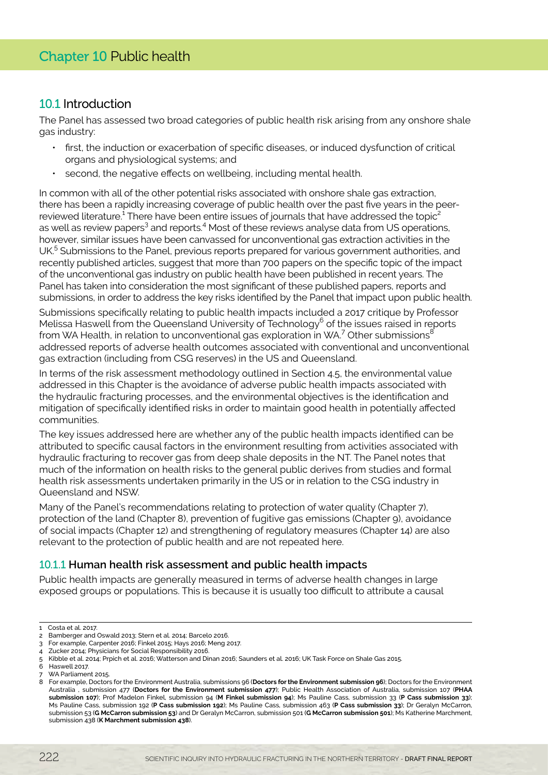# <span id="page-1-0"></span>10.1 Introduction

The Panel has assessed two broad categories of public health risk arising from any onshore shale gas industry:

- first, the induction or exacerbation of specific diseases, or induced dysfunction of critical organs and physiological systems; and
- second, the negative effects on wellbeing, including mental health.

In common with all of the other potential risks associated with onshore shale gas extraction, there has been a rapidly increasing coverage of public health over the past five years in the peerreviewed literature.<sup>1</sup> There have been entire issues of journals that have addressed the topic<sup>2</sup> as well as review papers<sup>3</sup> and reports.<sup>4</sup> Most of these reviews analyse data from US operations, however, similar issues have been canvassed for unconventional gas extraction activities in the UK.<sup>5</sup> Submissions to the Panel, previous reports prepared for various government authorities, and recently published articles, suggest that more than 700 papers on the specific topic of the impact of the unconventional gas industry on public health have been published in recent years. The Panel has taken into consideration the most significant of these published papers, reports and submissions, in order to address the key risks identified by the Panel that impact upon public health.

Submissions specifically relating to public health impacts included a 2017 critique by Professor Melissa Haswell from the Queensland University of Technology $^6$  of the issues raised in reports from WA Health, in relation to unconventional gas exploration in WA.<sup>7</sup> Other submissions $^8$ addressed reports of adverse health outcomes associated with conventional and unconventional gas extraction (including from CSG reserves) in the US and Queensland.

In terms of the risk assessment methodology outlined in Section 4.5, the environmental value addressed in this Chapter is the avoidance of adverse public health impacts associated with the hydraulic fracturing processes, and the environmental objectives is the identification and mitigation of specifically identified risks in order to maintain good health in potentially affected communities.

The key issues addressed here are whether any of the public health impacts identified can be attributed to specific causal factors in the environment resulting from activities associated with hydraulic fracturing to recover gas from deep shale deposits in the NT. The Panel notes that much of the information on health risks to the general public derives from studies and formal health risk assessments undertaken primarily in the US or in relation to the CSG industry in Queensland and NSW.

Many of the Panel's recommendations relating to protection of water quality (Chapter 7), protection of the land (Chapter 8), prevention of fugitive gas emissions (Chapter 9), avoidance of social impacts (Chapter 12) and strengthening of regulatory measures (Chapter 14) are also relevant to the protection of public health and are not repeated here.

# 10.1.1 **Human health risk assessment and public health impacts**

Public health impacts are generally measured in terms of adverse health changes in large exposed groups or populations. This is because it is usually too difficult to attribute a causal

<sup>1</sup> Costa et al. 2017.

<sup>2</sup> Bamberger and Oswald 2013; Stern et al. 2014; Barcelo 2016.

<sup>3</sup> For example, Carpenter 2016; Finkel 2015; Hays 2016; Meng 2017.

<sup>4</sup> Zucker 2014; Physicians for Social Responsibility 2016.

<sup>5</sup> Kibble et al. 2014; Prpich et al. 2016; Watterson and Dinan 2016; Saunders et al. 2016; UK Task Force on Shale Gas 2015.

<sup>6</sup> Haswell 2017.

WA Parliament 2015

<sup>8</sup> For example, Doctors for the Environment Australia, submissions 96 (**Doctors for the Environment submission 96**); Doctors for the Environment Australia , submission 477 (**Doctors for the Environment submission 477**); Public Health Association of Australia, submission 107 (**PHAA submission 107**); Prof Madelon Finkel, submission 94 (**M Finkel submission 94**); Ms Pauline Cass, submission 33 (**P Cass submission 33**); Ms Pauline Cass, submission 192 (**P Cass submission 192**); Ms Pauline Cass, submission 463 (**P Cass submission 33**); Dr Geralyn McCarron, submission 53 (**G McCarron submission 53**) and Dr Geralyn McCarron, submission 501 (**G McCarron submission 501**); Ms Katherine Marchment, submission 438 (**K Marchment submission 438**).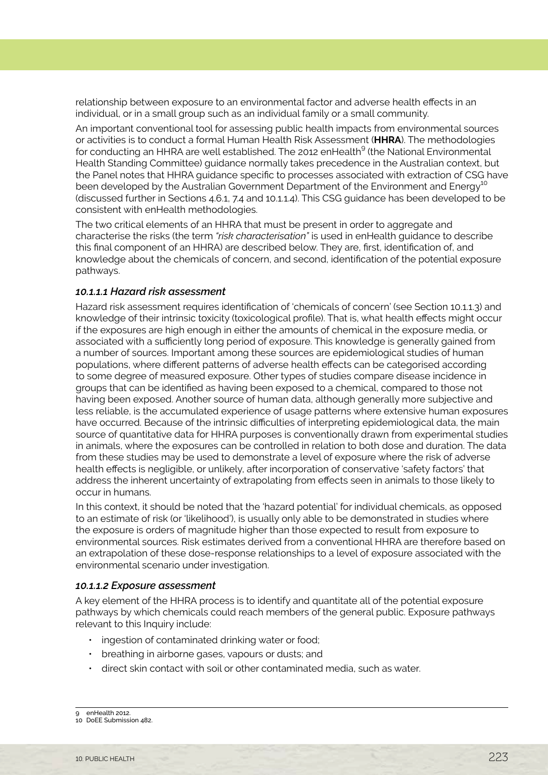relationship between exposure to an environmental factor and adverse health effects in an individual, or in a small group such as an individual family or a small community.

An important conventional tool for assessing public health impacts from environmental sources or activities is to conduct a formal Human Health Risk Assessment (**HHRA**). The methodologies for conducting an HHRA are well established. The 2012 enHealth<sup>9</sup> (the National Environmental Health Standing Committee) guidance normally takes precedence in the Australian context, but the Panel notes that HHRA guidance specific to processes associated with extraction of CSG have been developed by the Australian Government Department of the Environment and Energy<sup>10</sup> (discussed further in Sections 4.6.1, 7.4 and 10.1.1.4). This CSG guidance has been developed to be consistent with enHealth methodologies.

The two critical elements of an HHRA that must be present in order to aggregate and characterise the risks (the term *"risk characterisation"* is used in enHealth guidance to describe this final component of an HHRA) are described below. They are, first, identification of, and knowledge about the chemicals of concern, and second, identification of the potential exposure pathways.

#### *10.1.1.1 Hazard risk assessment*

Hazard risk assessment requires identification of 'chemicals of concern' (see Section 10.1.1.3) and knowledge of their intrinsic toxicity (toxicological profile). That is, what health effects might occur if the exposures are high enough in either the amounts of chemical in the exposure media, or associated with a sufficiently long period of exposure. This knowledge is generally gained from a number of sources. Important among these sources are epidemiological studies of human populations, where different patterns of adverse health effects can be categorised according to some degree of measured exposure. Other types of studies compare disease incidence in groups that can be identified as having been exposed to a chemical, compared to those not having been exposed. Another source of human data, although generally more subjective and less reliable, is the accumulated experience of usage patterns where extensive human exposures have occurred. Because of the intrinsic difficulties of interpreting epidemiological data, the main source of quantitative data for HHRA purposes is conventionally drawn from experimental studies in animals, where the exposures can be controlled in relation to both dose and duration. The data from these studies may be used to demonstrate a level of exposure where the risk of adverse health effects is negligible, or unlikely, after incorporation of conservative 'safety factors' that address the inherent uncertainty of extrapolating from effects seen in animals to those likely to occur in humans.

In this context, it should be noted that the 'hazard potential' for individual chemicals, as opposed to an estimate of risk (or 'likelihood'), is usually only able to be demonstrated in studies where the exposure is orders of magnitude higher than those expected to result from exposure to environmental sources. Risk estimates derived from a conventional HHRA are therefore based on an extrapolation of these dose-response relationships to a level of exposure associated with the environmental scenario under investigation.

#### *10.1.1.2 Exposure assessment*

A key element of the HHRA process is to identify and quantitate all of the potential exposure pathways by which chemicals could reach members of the general public. Exposure pathways relevant to this Inquiry include:

- ingestion of contaminated drinking water or food:
- breathing in airborne gases, vapours or dusts; and
- • direct skin contact with soil or other contaminated media, such as water.

<sup>9</sup> enHealth 2012.

<sup>10</sup> DoEE Submission 482.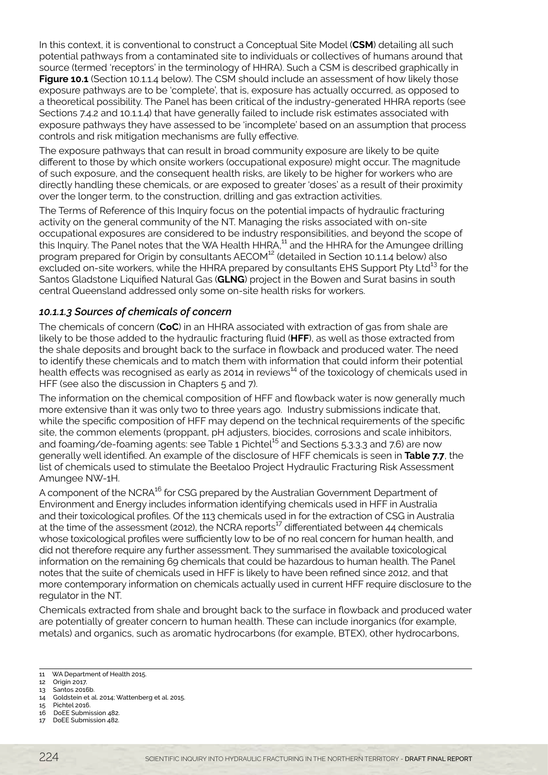In this context, it is conventional to construct a Conceptual Site Model (**CSM**) detailing all such potential pathways from a contaminated site to individuals or collectives of humans around that source (termed 'receptors' in the terminology of HHRA). Such a CSM is described graphically in **Figure 10.1** (Section 10.1.1.4 below). The CSM should include an assessment of how likely those exposure pathways are to be 'complete', that is, exposure has actually occurred, as opposed to a theoretical possibility. The Panel has been critical of the industry-generated HHRA reports (see Sections 7.4.2 and 10.1.1.4) that have generally failed to include risk estimates associated with exposure pathways they have assessed to be 'incomplete' based on an assumption that process controls and risk mitigation mechanisms are fully effective.

The exposure pathways that can result in broad community exposure are likely to be quite different to those by which onsite workers (occupational exposure) might occur. The magnitude of such exposure, and the consequent health risks, are likely to be higher for workers who are directly handling these chemicals, or are exposed to greater 'doses' as a result of their proximity over the longer term, to the construction, drilling and gas extraction activities.

The Terms of Reference of this Inquiry focus on the potential impacts of hydraulic fracturing activity on the general community of the NT. Managing the risks associated with on-site occupational exposures are considered to be industry responsibilities, and beyond the scope of this Inquiry. The Panel notes that the WA Health HHRA,<sup>11</sup> and the HHRA for the Amungee drilling program prepared for Origin by consultants AECOM<sup>12</sup> (detailed in Section 10.1.1.4 below) also excluded on-site workers, while the HHRA prepared by consultants EHS Support Pty Ltd<sup>13</sup> for the Santos Gladstone Liquified Natural Gas (**GLNG**) project in the Bowen and Surat basins in south central Queensland addressed only some on-site health risks for workers.

## *10.1.1.3 Sources of chemicals of concern*

The chemicals of concern (**CoC**) in an HHRA associated with extraction of gas from shale are likely to be those added to the hydraulic fracturing fluid (**HFF**), as well as those extracted from the shale deposits and brought back to the surface in flowback and produced water. The need to identify these chemicals and to match them with information that could inform their potential health effects was recognised as early as 2014 in reviews $^{14}$  of the toxicology of chemicals used in HFF (see also the discussion in Chapters 5 and 7).

The information on the chemical composition of HFF and flowback water is now generally much more extensive than it was only two to three years ago. Industry submissions indicate that, while the specific composition of HFF may depend on the technical requirements of the specific site, the common elements (proppant, pH adjusters, biocides, corrosions and scale inhibitors, and foaming/de-foaming agents: see Table  $1$  Pichtel<sup>15</sup> and Sections 5.3.3.3 and 7.6) are now generally well identified. An example of the disclosure of HFF chemicals is seen in **Table 7.7**, the list of chemicals used to stimulate the Beetaloo Project Hydraulic Fracturing Risk Assessment Amungee NW-1H.

A component of the NCRA<sup>16</sup> for CSG prepared by the Australian Government Department of Environment and Energy includes information identifying chemicals used in HFF in Australia and their toxicological profiles. Of the 113 chemicals used in for the extraction of CSG in Australia at the time of the assessment (2012), the NCRA reports<sup>17</sup> differentiated between 44 chemicals whose toxicological profiles were sufficiently low to be of no real concern for human health, and did not therefore require any further assessment. They summarised the available toxicological information on the remaining 69 chemicals that could be hazardous to human health. The Panel notes that the suite of chemicals used in HFF is likely to have been refined since 2012, and that more contemporary information on chemicals actually used in current HFF require disclosure to the regulator in the NT.

Chemicals extracted from shale and brought back to the surface in flowback and produced water are potentially of greater concern to human health. These can include inorganics (for example, metals) and organics, such as aromatic hydrocarbons (for example, BTEX), other hydrocarbons,

<sup>11</sup> WA Department of Health 2015.

<sup>12</sup> Origin 2017.

<sup>13</sup> Santos 2016b.

<sup>14</sup> Goldstein et al. 2014; Wattenberg et al. 2015.

<sup>15</sup> Pichtel 2016. 16 DoEE Submission 482.

<sup>17</sup> DoEE Submission 482.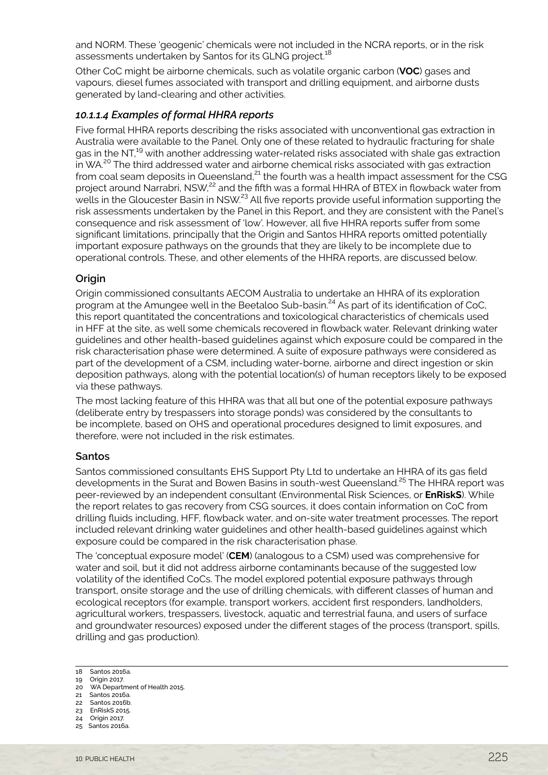and NORM. These 'geogenic' chemicals were not included in the NCRA reports, or in the risk assessments undertaken by Santos for its GLNG project.<sup>18</sup>

Other CoC might be airborne chemicals, such as volatile organic carbon (**VOC**) gases and vapours, diesel fumes associated with transport and drilling equipment, and airborne dusts generated by land-clearing and other activities.

#### *10.1.1.4 Examples of formal HHRA reports*

Five formal HHRA reports describing the risks associated with unconventional gas extraction in Australia were available to the Panel. Only one of these related to hydraulic fracturing for shale gas in the NT,<sup>19</sup> with another addressing water-related risks associated with shale gas extraction in WA.<sup>20</sup> The third addressed water and airborne chemical risks associated with gas extraction from coal seam deposits in Queensland, $^{21}$  the fourth was a health impact assessment for the CSG project around Narrabri, NSW,<sup>22</sup> and the fifth was a formal HHRA of BTEX in flowback water from wells in the Gloucester Basin in NSW.<sup>23</sup> All five reports provide useful information supporting the risk assessments undertaken by the Panel in this Report, and they are consistent with the Panel's consequence and risk assessment of 'low'. However, all five HHRA reports suffer from some significant limitations, principally that the Origin and Santos HHRA reports omitted potentially important exposure pathways on the grounds that they are likely to be incomplete due to operational controls. These, and other elements of the HHRA reports, are discussed below.

#### **Origin**

Origin commissioned consultants AECOM Australia to undertake an HHRA of its exploration program at the Amungee well in the Beetaloo Sub-basin.<sup>24</sup> As part of its identification of CoC, this report quantitated the concentrations and toxicological characteristics of chemicals used in HFF at the site, as well some chemicals recovered in flowback water. Relevant drinking water guidelines and other health-based guidelines against which exposure could be compared in the risk characterisation phase were determined. A suite of exposure pathways were considered as part of the development of a CSM, including water-borne, airborne and direct ingestion or skin deposition pathways, along with the potential location(s) of human receptors likely to be exposed via these pathways.

The most lacking feature of this HHRA was that all but one of the potential exposure pathways (deliberate entry by trespassers into storage ponds) was considered by the consultants to be incomplete, based on OHS and operational procedures designed to limit exposures, and therefore, were not included in the risk estimates.

#### **Santos**

Santos commissioned consultants EHS Support Pty Ltd to undertake an HHRA of its gas field developments in the Surat and Bowen Basins in south-west Queensland.<sup>25</sup> The HHRA report was peer-reviewed by an independent consultant (Environmental Risk Sciences, or **EnRiskS**). While the report relates to gas recovery from CSG sources, it does contain information on CoC from drilling fluids including, HFF, flowback water, and on-site water treatment processes. The report included relevant drinking water guidelines and other health-based guidelines against which exposure could be compared in the risk characterisation phase.

The 'conceptual exposure model' (**CEM**) (analogous to a CSM) used was comprehensive for water and soil, but it did not address airborne contaminants because of the suggested low volatility of the identified CoCs. The model explored potential exposure pathways through transport, onsite storage and the use of drilling chemicals, with different classes of human and ecological receptors (for example, transport workers, accident first responders, landholders, agricultural workers, trespassers, livestock, aquatic and terrestrial fauna, and users of surface and groundwater resources) exposed under the different stages of the process (transport, spills, drilling and gas production).

20 WA Department of Health 2015. 21 Santos 2016a.

- 23 EnRiskS 2015.
- 24 Origin 2017.
- 25 Santos 2016a.

<sup>18</sup> Santos 2016a.

<sup>19</sup> Origin 2017.

<sup>22</sup> Santos 2016b.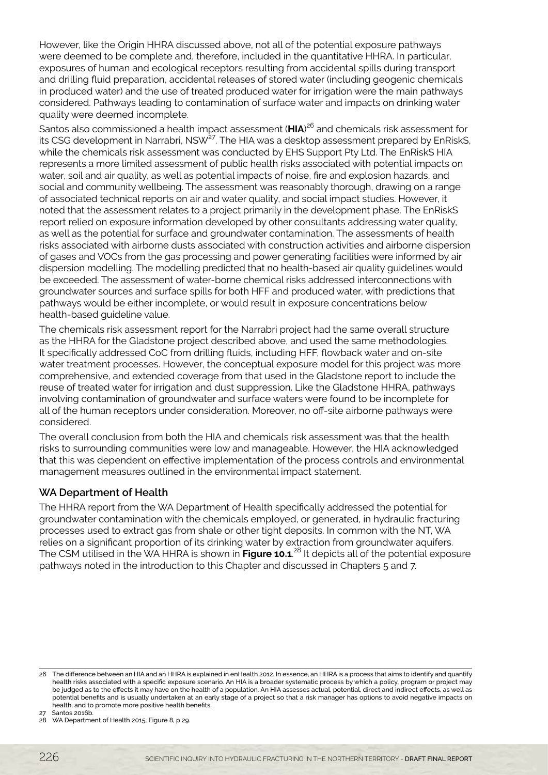However, like the Origin HHRA discussed above, not all of the potential exposure pathways were deemed to be complete and, therefore, included in the quantitative HHRA. In particular, exposures of human and ecological receptors resulting from accidental spills during transport and drilling fluid preparation, accidental releases of stored water (including geogenic chemicals in produced water) and the use of treated produced water for irrigation were the main pathways considered. Pathways leading to contamination of surface water and impacts on drinking water quality were deemed incomplete.

Santos also commissioned a health impact assessment (**HIA**) 26 and chemicals risk assessment for its CSG development in Narrabri, NSW<sup>27</sup>. The HIA was a desktop assessment prepared by EnRiskS, while the chemicals risk assessment was conducted by EHS Support Pty Ltd. The EnRiskS HIA represents a more limited assessment of public health risks associated with potential impacts on water, soil and air quality, as well as potential impacts of noise, fire and explosion hazards, and social and community wellbeing. The assessment was reasonably thorough, drawing on a range of associated technical reports on air and water quality, and social impact studies. However, it noted that the assessment relates to a project primarily in the development phase. The EnRiskS report relied on exposure information developed by other consultants addressing water quality, as well as the potential for surface and groundwater contamination. The assessments of health risks associated with airborne dusts associated with construction activities and airborne dispersion of gases and VOCs from the gas processing and power generating facilities were informed by air dispersion modelling. The modelling predicted that no health-based air quality guidelines would be exceeded. The assessment of water-borne chemical risks addressed interconnections with groundwater sources and surface spills for both HFF and produced water, with predictions that pathways would be either incomplete, or would result in exposure concentrations below health-based guideline value.

The chemicals risk assessment report for the Narrabri project had the same overall structure as the HHRA for the Gladstone project described above, and used the same methodologies. It specifically addressed CoC from drilling fluids, including HFF, flowback water and on-site water treatment processes. However, the conceptual exposure model for this project was more comprehensive, and extended coverage from that used in the Gladstone report to include the reuse of treated water for irrigation and dust suppression. Like the Gladstone HHRA, pathways involving contamination of groundwater and surface waters were found to be incomplete for all of the human receptors under consideration. Moreover, no off-site airborne pathways were considered.

The overall conclusion from both the HIA and chemicals risk assessment was that the health risks to surrounding communities were low and manageable. However, the HIA acknowledged that this was dependent on effective implementation of the process controls and environmental management measures outlined in the environmental impact statement.

# **WA Department of Health**

The HHRA report from the WA Department of Health specifically addressed the potential for groundwater contamination with the chemicals employed, or generated, in hydraulic fracturing processes used to extract gas from shale or other tight deposits. In common with the NT, WA relies on a significant proportion of its drinking water by extraction from groundwater aquifers. The CSM utilised in the WA HHRA is shown in **Figure 10.1**. <sup>28</sup> It depicts all of the potential exposure pathways noted in the introduction to this Chapter and discussed in Chapters 5 and 7.

<sup>26</sup> The difference between an HIA and an HHRA is explained in enHealth 2012. In essence, an HHRA is a process that aims to identify and quantify health risks associated with a specific exposure scenario. An HIA is a broader systematic process by which a policy, program or project may be judged as to the effects it may have on the health of a population. An HIA assesses actual, potential, direct and indirect effects, as well as potential benefits and is usually undertaken at an early stage of a project so that a risk manager has options to avoid negative impacts on health, and to promote more positive health benefits.

<sup>27</sup> Santos 2016b.

<sup>28</sup> WA Department of Health 2015, Figure 8, p 29.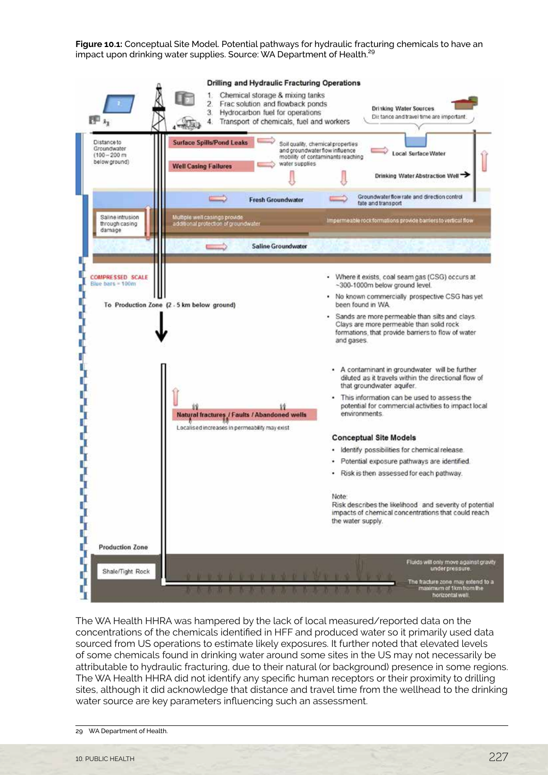**Figure 10.1:** Conceptual Site Model. Potential pathways for hydraulic fracturing chemicals to have an impact upon drinking water supplies. Source: WA Department of Health.<sup>29</sup>



The WA Health HHRA was hampered by the lack of local measured/reported data on the concentrations of the chemicals identified in HFF and produced water so it primarily used data sourced from US operations to estimate likely exposures. It further noted that elevated levels of some chemicals found in drinking water around some sites in the US may not necessarily be attributable to hydraulic fracturing, due to their natural (or background) presence in some regions. The WA Health HHRA did not identify any specific human receptors or their proximity to drilling sites, although it did acknowledge that distance and travel time from the wellhead to the drinking water source are key parameters influencing such an assessment.

<sup>29</sup> WA Department of Health.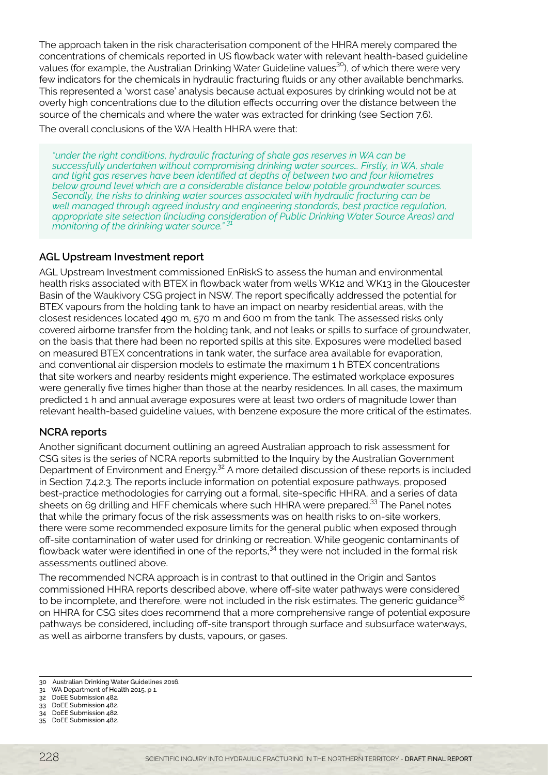The approach taken in the risk characterisation component of the HHRA merely compared the concentrations of chemicals reported in US flowback water with relevant health-based guideline values (for example, the Australian Drinking Water Guideline values<sup>30</sup>), of which there were very few indicators for the chemicals in hydraulic fracturing fluids or any other available benchmarks. This represented a 'worst case' analysis because actual exposures by drinking would not be at overly high concentrations due to the dilution effects occurring over the distance between the source of the chemicals and where the water was extracted for drinking (see Section 7.6). The overall conclusions of the WA Health HHRA were that:

*"under the right conditions, hydraulic fracturing of shale gas reserves in WA can be successfully undertaken without compromising drinking water sources… Firstly, in WA, shale and tight gas reserves have been identified at depths of between two and four kilometres below ground level which are a considerable distance below potable groundwater sources. Secondly, the risks to drinking water sources associated with hydraulic fracturing can be well managed through agreed industry and engineering standards, best practice regulation, appropriate site selection (including consideration of Public Drinking Water Source Areas) and monitoring of the drinking water source." 31*

## **AGL Upstream Investment report**

AGL Upstream Investment commissioned EnRiskS to assess the human and environmental health risks associated with BTEX in flowback water from wells WK12 and WK13 in the Gloucester Basin of the Waukivory CSG project in NSW. The report specifically addressed the potential for BTEX vapours from the holding tank to have an impact on nearby residential areas, with the closest residences located 490 m, 570 m and 600 m from the tank. The assessed risks only covered airborne transfer from the holding tank, and not leaks or spills to surface of groundwater, on the basis that there had been no reported spills at this site. Exposures were modelled based on measured BTEX concentrations in tank water, the surface area available for evaporation, and conventional air dispersion models to estimate the maximum 1 h BTEX concentrations that site workers and nearby residents might experience. The estimated workplace exposures were generally five times higher than those at the nearby residences. In all cases, the maximum predicted 1 h and annual average exposures were at least two orders of magnitude lower than relevant health-based guideline values, with benzene exposure the more critical of the estimates.

# **NCRA reports**

Another significant document outlining an agreed Australian approach to risk assessment for CSG sites is the series of NCRA reports submitted to the Inquiry by the Australian Government Department of Environment and Energy.<sup>32</sup> A more detailed discussion of these reports is included in Section 7.4.2.3. The reports include information on potential exposure pathways, proposed best-practice methodologies for carrying out a formal, site-specific HHRA, and a series of data sheets on 69 drilling and HFF chemicals where such HHRA were prepared.<sup>33</sup> The Panel notes that while the primary focus of the risk assessments was on health risks to on-site workers, there were some recommended exposure limits for the general public when exposed through off-site contamination of water used for drinking or recreation. While geogenic contaminants of flowback water were identified in one of the reports,<sup>34</sup> they were not included in the formal risk assessments outlined above.

The recommended NCRA approach is in contrast to that outlined in the Origin and Santos commissioned HHRA reports described above, where off-site water pathways were considered to be incomplete, and therefore, were not included in the risk estimates. The generic quidance  $35$ on HHRA for CSG sites does recommend that a more comprehensive range of potential exposure pathways be considered, including off-site transport through surface and subsurface waterways, as well as airborne transfers by dusts, vapours, or gases.

<sup>30</sup> Australian Drinking Water Guidelines 2016.

<sup>31</sup> WA Department of Health 2015, p 1.

<sup>32</sup> DoEE Submission 482. 33 DoEE Submission 482.

<sup>34</sup> DoEE Submission 482.

<sup>35</sup> DoEE Submission 482.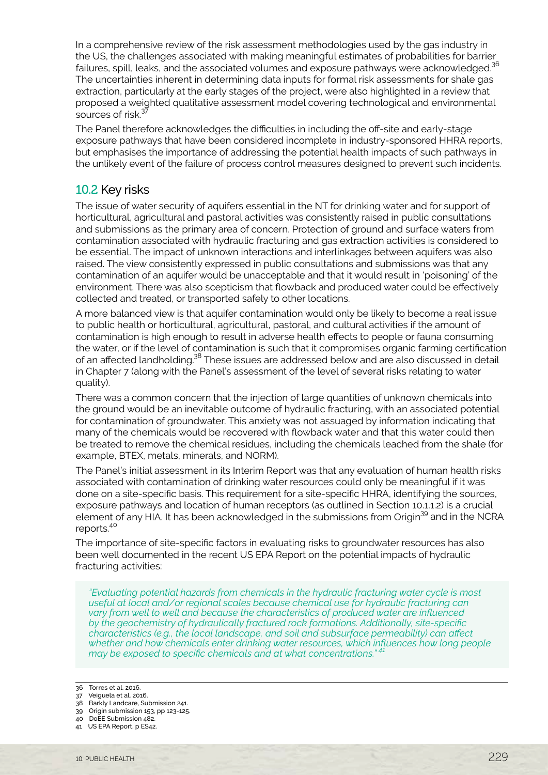<span id="page-8-0"></span>In a comprehensive review of the risk assessment methodologies used by the gas industry in the US, the challenges associated with making meaningful estimates of probabilities for barrier failures, spill, leaks, and the associated volumes and exposure pathways were acknowledged.<sup>36</sup> The uncertainties inherent in determining data inputs for formal risk assessments for shale gas extraction, particularly at the early stages of the project, were also highlighted in a review that proposed a weighted qualitative assessment model covering technological and environmental sources of risk.<sup>37</sup>

The Panel therefore acknowledges the difficulties in including the off-site and early-stage exposure pathways that have been considered incomplete in industry-sponsored HHRA reports, but emphasises the importance of addressing the potential health impacts of such pathways in the unlikely event of the failure of process control measures designed to prevent such incidents.

# 10.2 Key risks

The issue of water security of aquifers essential in the NT for drinking water and for support of horticultural, agricultural and pastoral activities was consistently raised in public consultations and submissions as the primary area of concern. Protection of ground and surface waters from contamination associated with hydraulic fracturing and gas extraction activities is considered to be essential. The impact of unknown interactions and interlinkages between aquifers was also raised. The view consistently expressed in public consultations and submissions was that any contamination of an aquifer would be unacceptable and that it would result in 'poisoning' of the environment. There was also scepticism that flowback and produced water could be effectively collected and treated, or transported safely to other locations.

A more balanced view is that aquifer contamination would only be likely to become a real issue to public health or horticultural, agricultural, pastoral, and cultural activities if the amount of contamination is high enough to result in adverse health effects to people or fauna consuming the water, or if the level of contamination is such that it compromises organic farming certification of an affected landholding.<sup>38</sup> These issues are addressed below and are also discussed in detail in Chapter 7 (along with the Panel's assessment of the level of several risks relating to water quality).

There was a common concern that the injection of large quantities of unknown chemicals into the ground would be an inevitable outcome of hydraulic fracturing, with an associated potential for contamination of groundwater. This anxiety was not assuaged by information indicating that many of the chemicals would be recovered with flowback water and that this water could then be treated to remove the chemical residues, including the chemicals leached from the shale (for example, BTEX, metals, minerals, and NORM).

The Panel's initial assessment in its Interim Report was that any evaluation of human health risks associated with contamination of drinking water resources could only be meaningful if it was done on a site-specific basis. This requirement for a site-specific HHRA, identifying the sources, exposure pathways and location of human receptors (as outlined in Section 10.1.1.2) is a crucial element of any HIA. It has been acknowledged in the submissions from Origin<sup>39</sup> and in the NCRA reports.40

The importance of site-specific factors in evaluating risks to groundwater resources has also been well documented in the recent US EPA Report on the potential impacts of hydraulic fracturing activities:

*"Evaluating potential hazards from chemicals in the hydraulic fracturing water cycle is most useful at local and/or regional scales because chemical use for hydraulic fracturing can vary from well to well and because the characteristics of produced water are influenced by the geochemistry of hydraulically fractured rock formations. Additionally, site-specific characteristics (e.g., the local landscape, and soil and subsurface permeability) can affect whether and how chemicals enter drinking water resources, which influences how long people may be exposed to specific chemicals and at what concentrations." <sup>41</sup>*

<sup>36</sup> Torres et al. 2016. 37 Veiguela et al. 2016.

<sup>38</sup> Barkly Landcare, Submission 241.

<sup>39</sup> Origin submission 153, pp 123-125.

<sup>40</sup> DoEE Submission 482.

<sup>41</sup> US EPA Report, p ES42.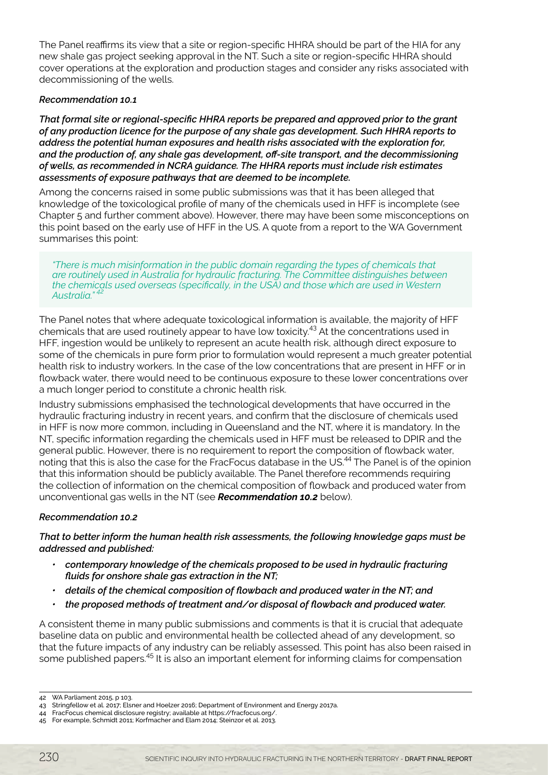The Panel reaffirms its view that a site or region-specific HHRA should be part of the HIA for any new shale gas project seeking approval in the NT. Such a site or region-specific HHRA should cover operations at the exploration and production stages and consider any risks associated with decommissioning of the wells.

#### *Recommendation 10.1*

*That formal site or regional-specific HHRA reports be prepared and approved prior to the grant of any production licence for the purpose of any shale gas development. Such HHRA reports to address the potential human exposures and health risks associated with the exploration for, and the production of, any shale gas development, off-site transport, and the decommissioning of wells, as recommended in NCRA guidance. The HHRA reports must include risk estimates assessments of exposure pathways that are deemed to be incomplete.*

Among the concerns raised in some public submissions was that it has been alleged that knowledge of the toxicological profile of many of the chemicals used in HFF is incomplete (see Chapter 5 and further comment above). However, there may have been some misconceptions on this point based on the early use of HFF in the US. A quote from a report to the WA Government summarises this point:

*"There is much misinformation in the public domain regarding the types of chemicals that are routinely used in Australia for hydraulic fracturing. The Committee distinguishes between the chemicals used overseas (specifically, in the USA) and those which are used in Western*  Australia."<sup>4</sup>

The Panel notes that where adequate toxicological information is available, the majority of HFF chemicals that are used routinely appear to have low toxicity.<sup>43</sup> At the concentrations used in HFF, ingestion would be unlikely to represent an acute health risk, although direct exposure to some of the chemicals in pure form prior to formulation would represent a much greater potential health risk to industry workers. In the case of the low concentrations that are present in HFF or in flowback water, there would need to be continuous exposure to these lower concentrations over a much longer period to constitute a chronic health risk.

Industry submissions emphasised the technological developments that have occurred in the hydraulic fracturing industry in recent years, and confirm that the disclosure of chemicals used in HFF is now more common, including in Queensland and the NT, where it is mandatory. In the NT, specific information regarding the chemicals used in HFF must be released to DPIR and the general public. However, there is no requirement to report the composition of flowback water, noting that this is also the case for the FracFocus database in the US.<sup>44</sup> The Panel is of the opinion that this information should be publicly available. The Panel therefore recommends requiring the collection of information on the chemical composition of flowback and produced water from unconventional gas wells in the NT (see *Recommendation 10.2* below).

#### *Recommendation 10.2*

*That to better inform the human health risk assessments, the following knowledge gaps must be addressed and published:* 

- *• contemporary knowledge of the chemicals proposed to be used in hydraulic fracturing fluids for onshore shale gas extraction in the NT;*
- *• details of the chemical composition of flowback and produced water in the NT; and*
- *• the proposed methods of treatment and/or disposal of flowback and produced water.*

A consistent theme in many public submissions and comments is that it is crucial that adequate baseline data on public and environmental health be collected ahead of any development, so that the future impacts of any industry can be reliably assessed. This point has also been raised in some published papers.<sup>45</sup> It is also an important element for informing claims for compensation

<sup>42</sup> WA Parliament 2015, p 103.

<sup>43</sup> Stringfellow et al. 2017; Elsner and Hoelzer 2016; Department of Environment and Energy 2017a.

<sup>44</sup> FracFocus chemical disclosure registry; available at https://fracfocus.org/.

<sup>45</sup> For example, Schmidt 2011; Korfmacher and Elam 2014; Steinzor et al. 2013.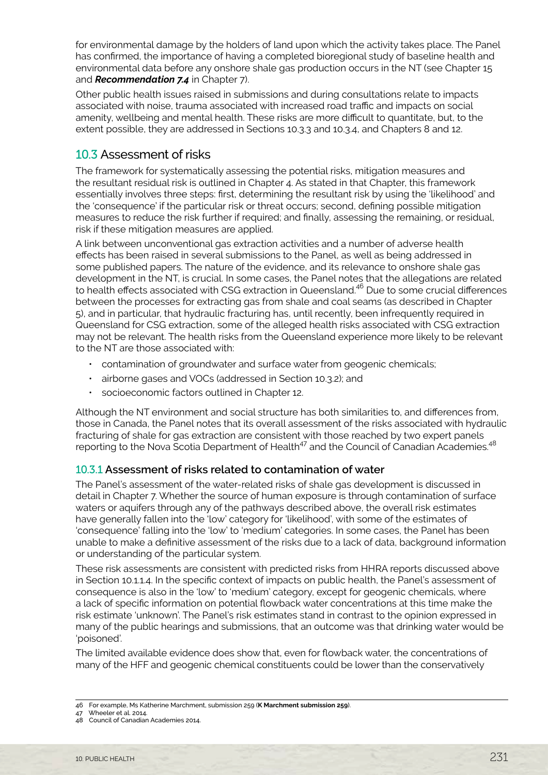<span id="page-10-0"></span>for environmental damage by the holders of land upon which the activity takes place. The Panel has confirmed, the importance of having a completed bioregional study of baseline health and environmental data before any onshore shale gas production occurs in the NT (see Chapter 15 and *Recommendation 7.4* in Chapter 7).

Other public health issues raised in submissions and during consultations relate to impacts associated with noise, trauma associated with increased road traffic and impacts on social amenity, wellbeing and mental health. These risks are more difficult to quantitate, but, to the extent possible, they are addressed in Sections 10.3.3 and 10.3.4, and Chapters 8 and 12.

# 10.3 Assessment of risks

The framework for systematically assessing the potential risks, mitigation measures and the resultant residual risk is outlined in Chapter 4. As stated in that Chapter, this framework essentially involves three steps: first, determining the resultant risk by using the 'likelihood' and the 'consequence' if the particular risk or threat occurs; second, defining possible mitigation measures to reduce the risk further if required; and finally, assessing the remaining, or residual, risk if these mitigation measures are applied.

A link between unconventional gas extraction activities and a number of adverse health effects has been raised in several submissions to the Panel, as well as being addressed in some published papers. The nature of the evidence, and its relevance to onshore shale gas development in the NT, is crucial. In some cases, the Panel notes that the allegations are related to health effects associated with CSG extraction in Queensland.<sup>46</sup> Due to some crucial differences between the processes for extracting gas from shale and coal seams (as described in Chapter 5), and in particular, that hydraulic fracturing has, until recently, been infrequently required in Queensland for CSG extraction, some of the alleged health risks associated with CSG extraction may not be relevant. The health risks from the Queensland experience more likely to be relevant to the NT are those associated with:

- contamination of groundwater and surface water from geogenic chemicals;
- airborne gases and VOCs (addressed in Section 10.3.2); and
- socioeconomic factors outlined in Chapter 12.

Although the NT environment and social structure has both similarities to, and differences from, those in Canada, the Panel notes that its overall assessment of the risks associated with hydraulic fracturing of shale for gas extraction are consistent with those reached by two expert panels reporting to the Nova Scotia Department of Health<sup>47</sup> and the Council of Canadian Academies.<sup>48</sup>

# 10.3.1 **Assessment of risks related to contamination of water**

The Panel's assessment of the water-related risks of shale gas development is discussed in detail in Chapter 7. Whether the source of human exposure is through contamination of surface waters or aquifers through any of the pathways described above, the overall risk estimates have generally fallen into the 'low' category for 'likelihood', with some of the estimates of 'consequence' falling into the 'low' to 'medium' categories. In some cases, the Panel has been unable to make a definitive assessment of the risks due to a lack of data, background information or understanding of the particular system.

These risk assessments are consistent with predicted risks from HHRA reports discussed above in Section 10.1.1.4. In the specific context of impacts on public health, the Panel's assessment of consequence is also in the 'low' to 'medium' category, except for geogenic chemicals, where a lack of specific information on potential flowback water concentrations at this time make the risk estimate 'unknown'. The Panel's risk estimates stand in contrast to the opinion expressed in many of the public hearings and submissions, that an outcome was that drinking water would be 'poisoned'.

The limited available evidence does show that, even for flowback water, the concentrations of many of the HFF and geogenic chemical constituents could be lower than the conservatively

<sup>46</sup> For example, Ms Katherine Marchment, submission 259 (**K Marchment submission 259**).

<sup>47</sup> Wheeler et al. 2014.

<sup>48</sup> Council of Canadian Academies 2014.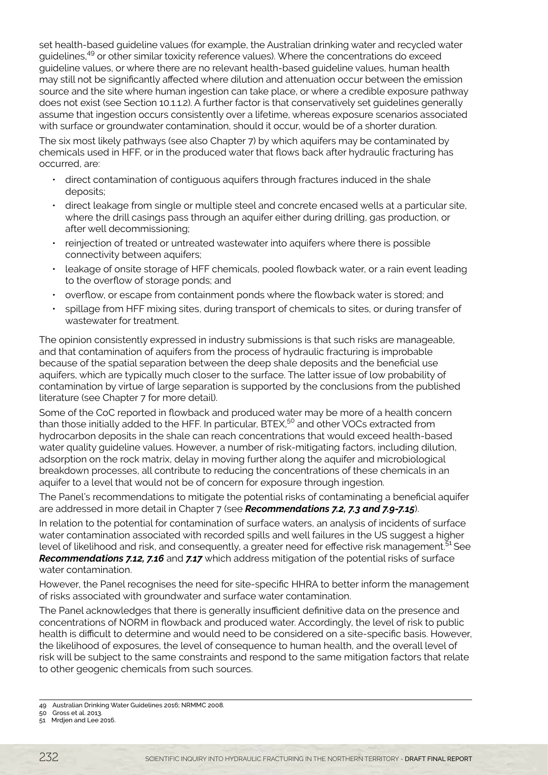set health-based guideline values (for example, the Australian drinking water and recycled water guidelines,49 or other similar toxicity reference values). Where the concentrations do exceed guideline values, or where there are no relevant health-based guideline values, human health may still not be significantly affected where dilution and attenuation occur between the emission source and the site where human ingestion can take place, or where a credible exposure pathway does not exist (see Section 10.1.1.2). A further factor is that conservatively set guidelines generally assume that ingestion occurs consistently over a lifetime, whereas exposure scenarios associated with surface or groundwater contamination, should it occur, would be of a shorter duration.

The six most likely pathways (see also Chapter 7) by which aquifers may be contaminated by chemicals used in HFF, or in the produced water that flows back after hydraulic fracturing has occurred, are:

- direct contamination of contiguous aquifers through fractures induced in the shale deposits;
- direct leakage from single or multiple steel and concrete encased wells at a particular site, where the drill casings pass through an aquifer either during drilling, gas production, or after well decommissioning;
- reinjection of treated or untreated wastewater into aquifers where there is possible connectivity between aquifers;
- leakage of onsite storage of HFF chemicals, pooled flowback water, or a rain event leading to the overflow of storage ponds; and
- overflow, or escape from containment ponds where the flowback water is stored; and
- spillage from HFF mixing sites, during transport of chemicals to sites, or during transfer of wastewater for treatment.

The opinion consistently expressed in industry submissions is that such risks are manageable, and that contamination of aquifers from the process of hydraulic fracturing is improbable because of the spatial separation between the deep shale deposits and the beneficial use aquifers, which are typically much closer to the surface. The latter issue of low probability of contamination by virtue of large separation is supported by the conclusions from the published literature (see Chapter 7 for more detail).

Some of the CoC reported in flowback and produced water may be more of a health concern than those initially added to the HFF. In particular, BTEX,<sup>50</sup> and other VOCs extracted from hydrocarbon deposits in the shale can reach concentrations that would exceed health-based water quality guideline values. However, a number of risk-mitigating factors, including dilution, adsorption on the rock matrix, delay in moving further along the aquifer and microbiological breakdown processes, all contribute to reducing the concentrations of these chemicals in an aquifer to a level that would not be of concern for exposure through ingestion.

The Panel's recommendations to mitigate the potential risks of contaminating a beneficial aquifer are addressed in more detail in Chapter 7 (see *Recommendations 7.2, 7.3 and 7.9-7.15*).

In relation to the potential for contamination of surface waters, an analysis of incidents of surface water contamination associated with recorded spills and well failures in the US suggest a higher level of likelihood and risk, and consequently, a greater need for effective risk management.<sup>51</sup> See *Recommendations 7.12, 7.16* and *7.17* which address mitigation of the potential risks of surface water contamination.

However, the Panel recognises the need for site-specific HHRA to better inform the management of risks associated with groundwater and surface water contamination.

The Panel acknowledges that there is generally insufficient definitive data on the presence and concentrations of NORM in flowback and produced water. Accordingly, the level of risk to public health is difficult to determine and would need to be considered on a site-specific basis. However, the likelihood of exposures, the level of consequence to human health, and the overall level of risk will be subject to the same constraints and respond to the same mitigation factors that relate to other geogenic chemicals from such sources.

<sup>49</sup> Australian Drinking Water Guidelines 2016; NRMMC 2008.

<sup>50</sup> Gross et al. 2013. 51 Mrdjen and Lee 2016.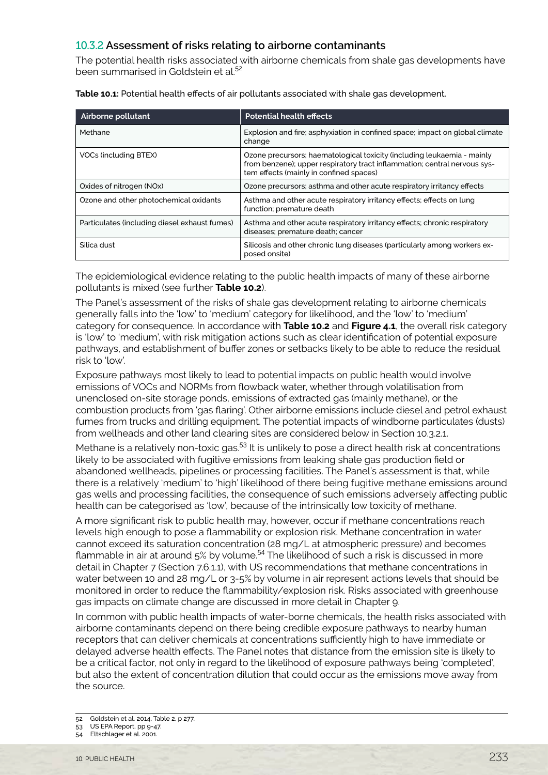# 10.3.2 **Assessment of risks relating to airborne contaminants**

The potential health risks associated with airborne chemicals from shale gas developments have been summarised in Goldstein et al.<sup>52</sup>

| Airborne pollutant                            | <b>Potential health effects</b>                                                                                                                                                                 |  |
|-----------------------------------------------|-------------------------------------------------------------------------------------------------------------------------------------------------------------------------------------------------|--|
| Methane                                       | Explosion and fire; asphyxiation in confined space; impact on global climate<br>change                                                                                                          |  |
| VOCs (including BTEX)                         | Ozone precursors; haematological toxicity (including leukaemia - mainly<br>from benzene); upper respiratory tract inflammation; central nervous sys-<br>tem effects (mainly in confined spaces) |  |
| Oxides of nitrogen (NOx)                      | Ozone precursors; asthma and other acute respiratory irritancy effects                                                                                                                          |  |
| Ozone and other photochemical oxidants        | Asthma and other acute respiratory irritancy effects; effects on lung<br>function; premature death                                                                                              |  |
| Particulates (including diesel exhaust fumes) | Asthma and other acute respiratory irritancy effects; chronic respiratory<br>diseases; premature death; cancer                                                                                  |  |
| Silica dust                                   | Silicosis and other chronic lung diseases (particularly among workers ex-<br>posed onsite)                                                                                                      |  |

**Table 10.1:** Potential health effects of air pollutants associated with shale gas development.

The epidemiological evidence relating to the public health impacts of many of these airborne pollutants is mixed (see further **Table 10.2**).

The Panel's assessment of the risks of shale gas development relating to airborne chemicals generally falls into the 'low' to 'medium' category for likelihood, and the 'low' to 'medium' category for consequence. In accordance with **Table 10.2** and **Figure 4.1**, the overall risk category is 'low' to 'medium', with risk mitigation actions such as clear identification of potential exposure pathways, and establishment of buffer zones or setbacks likely to be able to reduce the residual risk to 'low'.

Exposure pathways most likely to lead to potential impacts on public health would involve emissions of VOCs and NORMs from flowback water, whether through volatilisation from unenclosed on-site storage ponds, emissions of extracted gas (mainly methane), or the combustion products from 'gas flaring'. Other airborne emissions include diesel and petrol exhaust fumes from trucks and drilling equipment. The potential impacts of windborne particulates (dusts) from wellheads and other land clearing sites are considered below in Section 10.3.2.1.

Methane is a relatively non-toxic gas.<sup>53</sup> It is unlikely to pose a direct health risk at concentrations likely to be associated with fugitive emissions from leaking shale gas production field or abandoned wellheads, pipelines or processing facilities. The Panel's assessment is that, while there is a relatively 'medium' to 'high' likelihood of there being fugitive methane emissions around gas wells and processing facilities, the consequence of such emissions adversely affecting public health can be categorised as 'low', because of the intrinsically low toxicity of methane.

A more significant risk to public health may, however, occur if methane concentrations reach levels high enough to pose a flammability or explosion risk. Methane concentration in water cannot exceed its saturation concentration (28 mg/L at atmospheric pressure) and becomes flammable in air at around  $5\%$  by volume.<sup>54</sup> The likelihood of such a risk is discussed in more detail in Chapter 7 (Section 7.6.1.1), with US recommendations that methane concentrations in water between 10 and 28 mg/L or 3-5% by volume in air represent actions levels that should be monitored in order to reduce the flammability/explosion risk. Risks associated with greenhouse gas impacts on climate change are discussed in more detail in Chapter 9.

In common with public health impacts of water-borne chemicals, the health risks associated with airborne contaminants depend on there being credible exposure pathways to nearby human receptors that can deliver chemicals at concentrations sufficiently high to have immediate or delayed adverse health effects. The Panel notes that distance from the emission site is likely to be a critical factor, not only in regard to the likelihood of exposure pathways being 'completed', but also the extent of concentration dilution that could occur as the emissions move away from the source.

- 52 Goldstein et al. 2014, Table 2, p 277.
- 53 US EPA Report, pp 9-47.
- 54 Eltschlager et al. 2001.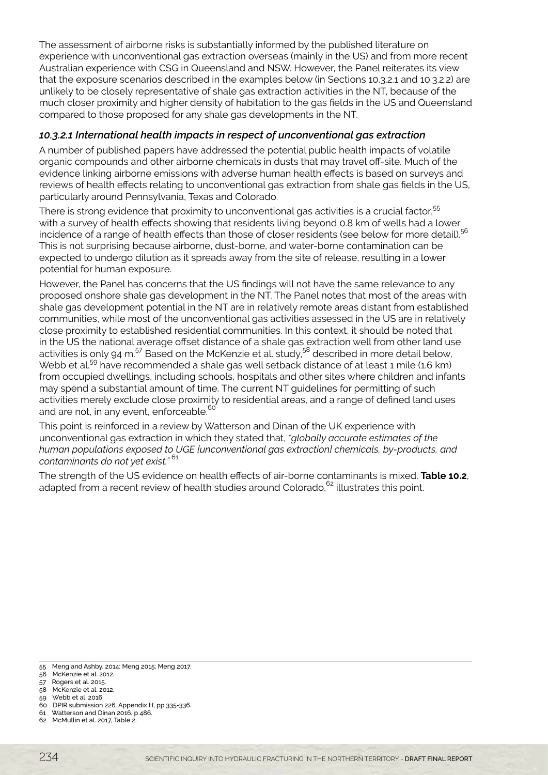The assessment of airborne risks is substantially informed by the published literature on experience with unconventional gas extraction overseas (mainly in the US) and from more recent Australian experience with CSG in Queensland and NSW. However, the Panel reiterates its view that the exposure scenarios described in the examples below (in Sections 10.3.2.1 and 10.3.2.2) are unlikely to be closely representative of shale gas extraction activities in the NT, because of the much closer proximity and higher density of habitation to the gas fields in the US and Queensland compared to those proposed for any shale gas developments in the NT.

# *10.3.2.1 International health impacts in respect of unconventional gas extraction*

A number of published papers have addressed the potential public health impacts of volatile organic compounds and other airborne chemicals in dusts that may travel off-site. Much of the evidence linking airborne emissions with adverse human health effects is based on surveys and reviews of health effects relating to unconventional gas extraction from shale gas fields in the US, particularly around Pennsylvania, Texas and Colorado.

There is strong evidence that proximity to unconventional gas activities is a crucial factor,<sup>55</sup> with a survey of health effects showing that residents living beyond 0.8 km of wells had a lower incidence of a range of health effects than those of closer residents (see below for more detail).<sup>56</sup> This is not surprising because airborne, dust-borne, and water-borne contamination can be expected to undergo dilution as it spreads away from the site of release, resulting in a lower potential for human exposure.

However, the Panel has concerns that the US findings will not have the same relevance to any proposed onshore shale gas development in the NT. The Panel notes that most of the areas with shale gas development potential in the NT are in relatively remote areas distant from established communities, while most of the unconventional gas activities assessed in the US are in relatively close proximity to established residential communities. In this context, it should be noted that in the US the national average offset distance of a shale gas extraction well from other land use activities is only 94 m.<sup>57</sup> Based on the McKenzie et al. study,<sup>58</sup> described in more detail below, Webb et al.<sup>59</sup> have recommended a shale gas well setback distance of at least 1 mile (1.6 km) from occupied dwellings, including schools, hospitals and other sites where children and infants may spend a substantial amount of time. The current NT guidelines for permitting of such activities merely exclude close proximity to residential areas, and a range of defined land uses and are not, in any event, enforceable. $60$ 

This point is reinforced in a review by Watterson and Dinan of the UK experience with unconventional gas extraction in which they stated that, *"globally accurate estimates of the human populations exposed to UGE [unconventional gas extraction] chemicals, by-products, and contaminants do not yet exist."* <sup>61</sup>

The strength of the US evidence on health effects of air-borne contaminants is mixed. **Table 10.2**, adapted from a recent review of health studies around Colorado, $62$  illustrates this point.

<sup>55</sup> Meng and Ashby, 2014; Meng 2015; Meng 2017.

<sup>56</sup> McKenzie et al. 2012.

<sup>57</sup> Rogers et al. 2015.

<sup>58</sup> McKenzie et al. 2012.

<sup>59</sup> Webb et al. 2016

<sup>60</sup> DPIR submission 226, Appendix H, pp 335-336. 61 Watterson and Dinan 2016, p 486.

<sup>62</sup> McMullin et al. 2017, Table 2.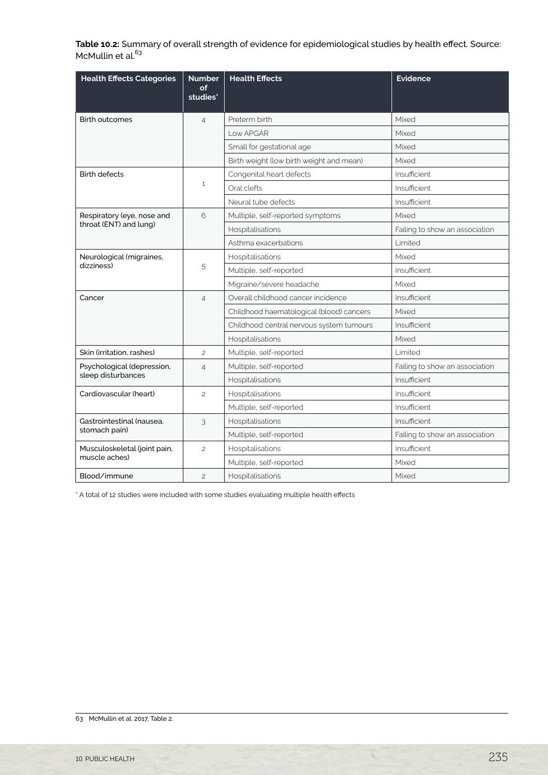**Table 10.2:** Summary of overall strength of evidence for epidemiological studies by health effect. Source: McMullin et al.<sup>63</sup>

| <b>Health Effects Categories</b>                     | <b>Number</b><br>оf<br>studies* | <b>Health Effects</b>                    | <b>Evidence</b>                |
|------------------------------------------------------|---------------------------------|------------------------------------------|--------------------------------|
| <b>Birth outcomes</b>                                | $\overline{4}$                  | Preterm birth                            | Mixed                          |
|                                                      |                                 | <b>Low APGAR</b>                         | Mixed                          |
|                                                      |                                 | Small for gestational age                | Mixed                          |
|                                                      |                                 | Birth weight (low birth weight and mean) | Mixed                          |
| <b>Birth defects</b>                                 | $\mathbf{1}$                    | Congenital heart defects                 | Insufficient                   |
|                                                      |                                 | Oral clefts                              | Insufficient                   |
|                                                      |                                 | Neural tube defects                      | Insufficient                   |
| Respiratory (eye, nose and<br>throat (ENT) and lung) | 6                               | Multiple, self-reported symptoms         | Mixed                          |
|                                                      |                                 | Hospitalisations                         | Failing to show an association |
|                                                      |                                 | Asthma exacerbations                     | Limited                        |
| Neurological (migraines,<br>dizziness)               | 5                               | Hospitalisations                         | Mixed                          |
|                                                      |                                 | Multiple, self-reported                  | Insufficient                   |
|                                                      |                                 | Migraine/severe headache                 | Mixed                          |
| Cancer                                               | $\overline{4}$                  | Overall childhood cancer incidence       | Insufficient                   |
|                                                      |                                 | Childhood haematological (blood) cancers | Mixed                          |
|                                                      |                                 | Childhood central nervous system tumours | Insufficient                   |
|                                                      |                                 | Hospitalisations                         | Mixed                          |
| Skin (irritation, rashes)                            | $\mathbf{2}$                    | Multiple, self-reported                  | Limited                        |
| Psychological (depression,<br>sleep disturbances     | $\overline{4}$                  | Multiple, self-reported                  | Failing to show an association |
|                                                      |                                 | Hospitalisations                         | Insufficient                   |
| Cardiovascular (heart)                               | $\overline{c}$                  | Hospitalisations                         | Insufficient                   |
|                                                      |                                 | Multiple, self-reported                  | Insufficient                   |
| Gastrointestinal (nausea.<br>stomach pain)           | 3                               | Hospitalisations                         | Insufficient                   |
|                                                      |                                 | Multiple, self-reported                  | Failing to show an association |
| Musculoskeletal (joint pain,<br>muscle aches)        | $\overline{c}$                  | Hospitalisations                         | Insufficient                   |
|                                                      |                                 | Multiple, self-reported                  | Mixed                          |
| Blood/immune                                         | $\overline{c}$                  | Hospitalisations                         | Mixed                          |

\* A total of 12 studies were included with some studies evaluating multiple health effects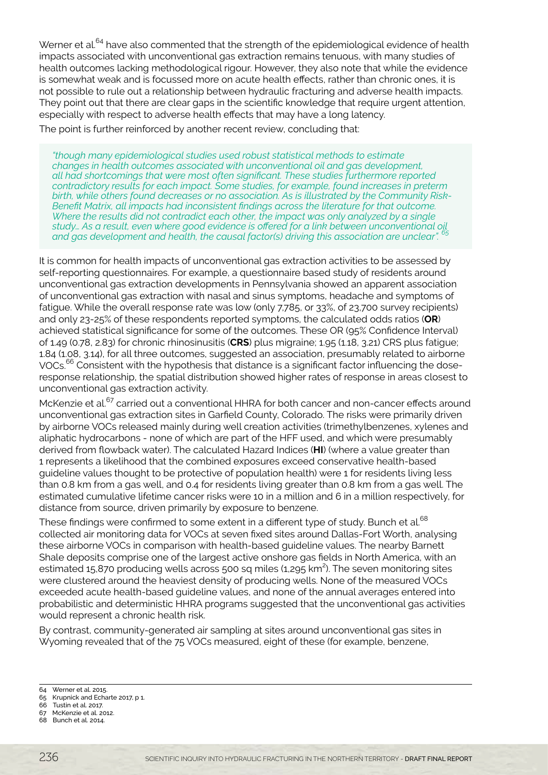Werner et al.<sup>64</sup> have also commented that the strength of the epidemiological evidence of health impacts associated with unconventional gas extraction remains tenuous, with many studies of health outcomes lacking methodological rigour. However, they also note that while the evidence is somewhat weak and is focussed more on acute health effects, rather than chronic ones, it is not possible to rule out a relationship between hydraulic fracturing and adverse health impacts. They point out that there are clear gaps in the scientific knowledge that require urgent attention, especially with respect to adverse health effects that may have a long latency.

The point is further reinforced by another recent review, concluding that:

*"though many epidemiological studies used robust statistical methods to estimate changes in health outcomes associated with unconventional oil and gas development, all had shortcomings that were most often significant. These studies furthermore reported contradictory results for each impact. Some studies, for example, found increases in preterm birth, while others found decreases or no association. As is illustrated by the Community Risk-Benefit Matrix, all impacts had inconsistent findings across the literature for that outcome. Where the results did not contradict each other, the impact was only analyzed by a single study… As a result, even where good evidence is offered for a link between unconventional oil and gas development and health, the causal factor(s) driving this association are unclear". 65*

It is common for health impacts of unconventional gas extraction activities to be assessed by self-reporting questionnaires. For example, a questionnaire based study of residents around unconventional gas extraction developments in Pennsylvania showed an apparent association of unconventional gas extraction with nasal and sinus symptoms, headache and symptoms of fatigue. While the overall response rate was low (only 7,785, or 33%, of 23,700 survey recipients) and only 23-25% of these respondents reported symptoms, the calculated odds ratios (**OR**) achieved statistical significance for some of the outcomes. These OR (95% Confidence Interval) of 1.49 (0.78, 2.83) for chronic rhinosinusitis (**CRS**) plus migraine; 1.95 (1.18, 3.21) CRS plus fatigue; 1.84 (1.08, 3.14), for all three outcomes, suggested an association, presumably related to airborne VOCs.<sup>66</sup> Consistent with the hypothesis that distance is a significant factor influencing the doseresponse relationship, the spatial distribution showed higher rates of response in areas closest to unconventional gas extraction activity.

McKenzie et al.<sup>67</sup> carried out a conventional HHRA for both cancer and non-cancer effects around unconventional gas extraction sites in Garfield County, Colorado. The risks were primarily driven by airborne VOCs released mainly during well creation activities (trimethylbenzenes, xylenes and aliphatic hydrocarbons - none of which are part of the HFF used, and which were presumably derived from flowback water). The calculated Hazard Indices (**HI**) (where a value greater than 1 represents a likelihood that the combined exposures exceed conservative health-based guideline values thought to be protective of population health) were 1 for residents living less than 0.8 km from a gas well, and 0.4 for residents living greater than 0.8 km from a gas well. The estimated cumulative lifetime cancer risks were 10 in a million and 6 in a million respectively, for distance from source, driven primarily by exposure to benzene.

These findings were confirmed to some extent in a different type of study. Bunch et al.<sup>68</sup> collected air monitoring data for VOCs at seven fixed sites around Dallas-Fort Worth, analysing these airborne VOCs in comparison with health-based guideline values. The nearby Barnett Shale deposits comprise one of the largest active onshore gas fields in North America, with an estimated 15,870 producing wells across 500 sq miles (1,295 km<sup>2</sup>). The seven monitoring sites were clustered around the heaviest density of producing wells. None of the measured VOCs exceeded acute health-based guideline values, and none of the annual averages entered into probabilistic and deterministic HHRA programs suggested that the unconventional gas activities would represent a chronic health risk.

By contrast, community-generated air sampling at sites around unconventional gas sites in Wyoming revealed that of the 75 VOCs measured, eight of these (for example, benzene,

64 Werner et al. 2015.

- 66 Tustin et al. 2017. 67 McKenzie et al. 2012.
- 68 Bunch et al. 2014.

<sup>65</sup> Krupnick and Echarte 2017, p 1.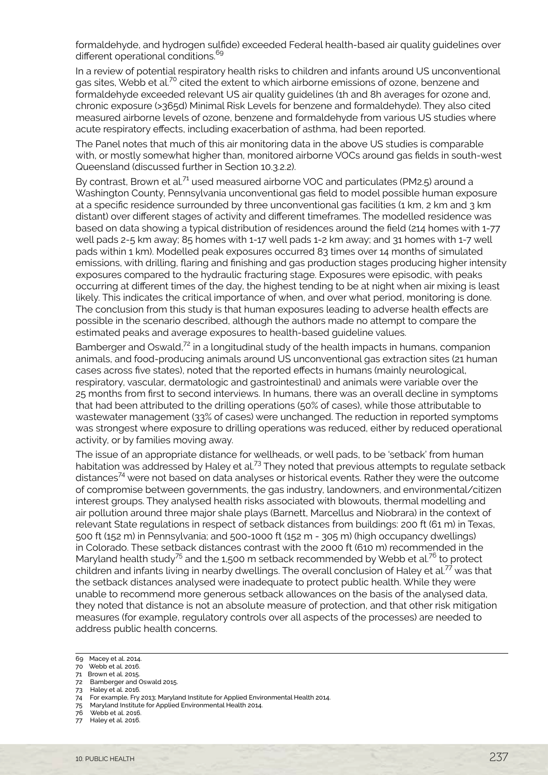formaldehyde, and hydrogen sulfide) exceeded Federal health-based air quality guidelines over different operational conditions.<sup>69</sup>

In a review of potential respiratory health risks to children and infants around US unconventional gas sites, Webb et al.<sup>70</sup> cited the extent to which airborne emissions of ozone, benzene and formaldehyde exceeded relevant US air quality guidelines (1h and 8h averages for ozone and, chronic exposure (>365d) Minimal Risk Levels for benzene and formaldehyde). They also cited measured airborne levels of ozone, benzene and formaldehyde from various US studies where acute respiratory effects, including exacerbation of asthma, had been reported.

The Panel notes that much of this air monitoring data in the above US studies is comparable with, or mostly somewhat higher than, monitored airborne VOCs around gas fields in south-west Queensland (discussed further in Section 10.3.2.2).

By contrast, Brown et al.<sup>71</sup> used measured airborne VOC and particulates (PM2.5) around a Washington County, Pennsylvania unconventional gas field to model possible human exposure at a specific residence surrounded by three unconventional gas facilities (1 km, 2 km and 3 km distant) over different stages of activity and different timeframes. The modelled residence was based on data showing a typical distribution of residences around the field (214 homes with 1-77 well pads 2-5 km away; 85 homes with 1-17 well pads 1-2 km away; and 31 homes with 1-7 well pads within 1 km). Modelled peak exposures occurred 83 times over 14 months of simulated emissions, with drilling, flaring and finishing and gas production stages producing higher intensity exposures compared to the hydraulic fracturing stage. Exposures were episodic, with peaks occurring at different times of the day, the highest tending to be at night when air mixing is least likely. This indicates the critical importance of when, and over what period, monitoring is done. The conclusion from this study is that human exposures leading to adverse health effects are possible in the scenario described, although the authors made no attempt to compare the estimated peaks and average exposures to health-based guideline values.

Bamberger and Oswald, $7<sup>2</sup>$  in a longitudinal study of the health impacts in humans, companion animals, and food-producing animals around US unconventional gas extraction sites (21 human cases across five states), noted that the reported effects in humans (mainly neurological, respiratory, vascular, dermatologic and gastrointestinal) and animals were variable over the 25 months from first to second interviews. In humans, there was an overall decline in symptoms that had been attributed to the drilling operations (50% of cases), while those attributable to wastewater management (33% of cases) were unchanged. The reduction in reported symptoms was strongest where exposure to drilling operations was reduced, either by reduced operational activity, or by families moving away.

The issue of an appropriate distance for wellheads, or well pads, to be 'setback' from human habitation was addressed by Haley et al.<sup>73</sup> They noted that previous attempts to regulate setback distances<sup>74</sup> were not based on data analyses or historical events. Rather they were the outcome of compromise between governments, the gas industry, landowners, and environmental/citizen interest groups. They analysed health risks associated with blowouts, thermal modelling and air pollution around three major shale plays (Barnett, Marcellus and Niobrara) in the context of relevant State regulations in respect of setback distances from buildings: 200 ft (61 m) in Texas, 500 ft (152 m) in Pennsylvania; and 500-1000 ft (152 m - 305 m) (high occupancy dwellings) in Colorado. These setback distances contrast with the 2000 ft (610 m) recommended in the Maryland health study<sup>75</sup> and the 1,500 m setback recommended by Webb et al.<sup>76</sup> to protect children and infants living in nearby dwellings. The overall conclusion of Haley et al.<sup>77</sup> was that the setback distances analysed were inadequate to protect public health. While they were unable to recommend more generous setback allowances on the basis of the analysed data, they noted that distance is not an absolute measure of protection, and that other risk mitigation measures (for example, regulatory controls over all aspects of the processes) are needed to address public health concerns.

- 74 For example, Fry 2013; Maryland Institute for Applied Environmental Health 2014. 75 Maryland Institute for Applied Environmental Health 2014.
- 

<sup>69</sup> Macey et al. 2014.

<sup>70</sup> Webb et al. 2016.

<sup>71</sup> Brown et al. 2015. 72 Bamberger and Oswald 2015.

<sup>73</sup> Haley et al. 2016.

<sup>76</sup> Webb et al. 2016.<br>77 Haley et al. 2016. Haley et al. 2016.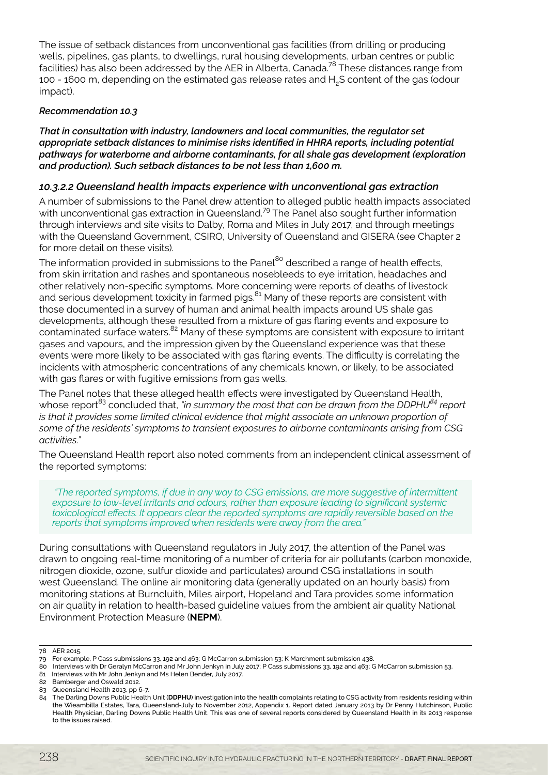The issue of setback distances from unconventional gas facilities (from drilling or producing wells, pipelines, gas plants, to dwellings, rural housing developments, urban centres or public facilities) has also been addressed by the AER in Alberta, Canada.78 These distances range from 100 - 1600 m, depending on the estimated gas release rates and H2S content of the gas (odour impact).

#### *Recommendation 10.3*

*That in consultation with industry, landowners and local communities, the regulator set appropriate setback distances to minimise risks identified in HHRA reports, including potential pathways for waterborne and airborne contaminants, for all shale gas development (exploration and production). Such setback distances to be not less than 1,600 m.* 

### *10.3.2.2 Queensland health impacts experience with unconventional gas extraction*

A number of submissions to the Panel drew attention to alleged public health impacts associated with unconventional gas extraction in Queensland.<sup>79</sup> The Panel also sought further information through interviews and site visits to Dalby, Roma and Miles in July 2017, and through meetings with the Queensland Government, CSIRO, University of Queensland and GISERA (see Chapter 2 for more detail on these visits).

The information provided in submissions to the Panel<sup>80</sup> described a range of health effects, from skin irritation and rashes and spontaneous nosebleeds to eye irritation, headaches and other relatively non-specific symptoms. More concerning were reports of deaths of livestock and serious development toxicity in farmed pigs.<sup>81</sup> Many of these reports are consistent with those documented in a survey of human and animal health impacts around US shale gas developments, although these resulted from a mixture of gas flaring events and exposure to contaminated surface waters.<sup>82</sup> Many of these symptoms are consistent with exposure to irritant gases and vapours, and the impression given by the Queensland experience was that these events were more likely to be associated with gas flaring events. The difficulty is correlating the incidents with atmospheric concentrations of any chemicals known, or likely, to be associated with gas flares or with fugitive emissions from gas wells.

The Panel notes that these alleged health effects were investigated by Queensland Health, whose report<sup>83</sup> concluded that, *"in summary the most that can be drawn from the DDPHU<sup>84</sup> report is that it provides some limited clinical evidence that might associate an unknown proportion of some of the residents' symptoms to transient exposures to airborne contaminants arising from CSG activities."*

The Queensland Health report also noted comments from an independent clinical assessment of the reported symptoms:

 *"The reported symptoms, if due in any way to CSG emissions, are more suggestive of intermittent exposure to low-level irritants and odours, rather than exposure leading to significant systemic toxicological effects. It appears clear the reported symptoms are rapidly reversible based on the reports that symptoms improved when residents were away from the area."*

During consultations with Queensland regulators in July 2017, the attention of the Panel was drawn to ongoing real-time monitoring of a number of criteria for air pollutants (carbon monoxide, nitrogen dioxide, ozone, sulfur dioxide and particulates) around CSG installations in south west Queensland. The online air monitoring data (generally updated on an hourly basis) from monitoring stations at Burncluith, Miles airport, Hopeland and Tara provides some information on air quality in relation to health-based guideline values from the ambient air quality National Environment Protection Measure (**NEPM**).

<sup>78</sup> AER 2015.

<sup>79</sup> For example, P Cass submissions 33, 192 and 463; G McCarron submission 53; K Marchment submission 438.

<sup>80</sup> Interviews with Dr Geralyn McCarron and Mr John Jenkyn in July 2017; P Cass submissions 33, 192 and 463; G McCarron submission 53.

<sup>81</sup> Interviews with Mr John Jenkyn and Ms Helen Bender, July 2017.

<sup>82</sup> Bamberger and Oswald 2012.

<sup>83</sup> Queensland Health 2013, pp 6-7.

<sup>84</sup> The Darling Downs Public Health Unit (**DDPHU**) investigation into the health complaints relating to CSG activity from residents residing within the Wieambilla Estates, Tara, Queensland-July to November 2012, Appendix 1. Report dated January 2013 by Dr Penny Hutchinson, Public Health Physician, Darling Downs Public Health Unit. This was one of several reports considered by Queensland Health in its 2013 response to the issues raised.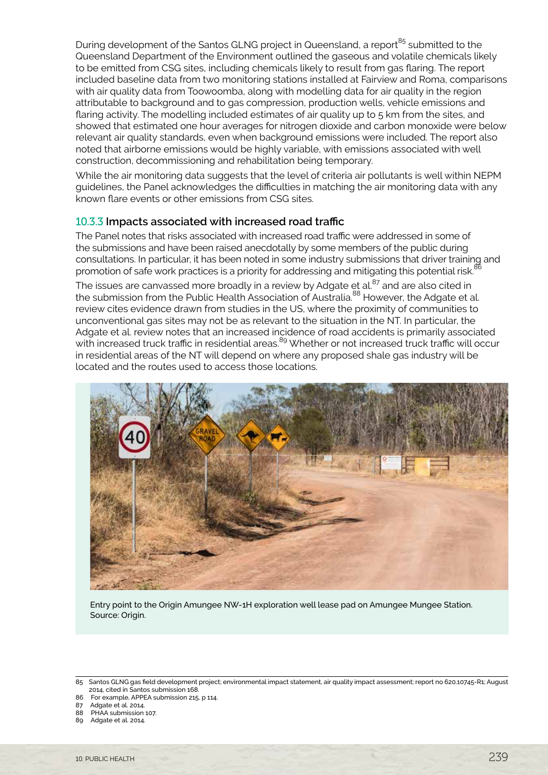During development of the Santos GLNG project in Queensland, a report<sup>85</sup> submitted to the Queensland Department of the Environment outlined the gaseous and volatile chemicals likely to be emitted from CSG sites, including chemicals likely to result from gas flaring. The report included baseline data from two monitoring stations installed at Fairview and Roma, comparisons with air quality data from Toowoomba, along with modelling data for air quality in the region attributable to background and to gas compression, production wells, vehicle emissions and flaring activity. The modelling included estimates of air quality up to 5 km from the sites, and showed that estimated one hour averages for nitrogen dioxide and carbon monoxide were below relevant air quality standards, even when background emissions were included. The report also noted that airborne emissions would be highly variable, with emissions associated with well construction, decommissioning and rehabilitation being temporary.

While the air monitoring data suggests that the level of criteria air pollutants is well within NEPM guidelines, the Panel acknowledges the difficulties in matching the air monitoring data with any known flare events or other emissions from CSG sites.

## 10.3.3 **Impacts associated with increased road traffic**

The Panel notes that risks associated with increased road traffic were addressed in some of the submissions and have been raised anecdotally by some members of the public during consultations. In particular, it has been noted in some industry submissions that driver training and promotion of safe work practices is a priority for addressing and mitigating this potential risk.<sup>8</sup>

The issues are canvassed more broadly in a review by Adgate et al. $87$  and are also cited in the submission from the Public Health Association of Australia.<sup>88</sup> However, the Adgate et al. review cites evidence drawn from studies in the US, where the proximity of communities to unconventional gas sites may not be as relevant to the situation in the NT. In particular, the Adgate et al. review notes that an increased incidence of road accidents is primarily associated with increased truck traffic in residential areas.<sup>89</sup> Whether or not increased truck traffic will occur in residential areas of the NT will depend on where any proposed shale gas industry will be located and the routes used to access those locations.



Entry point to the Origin Amungee NW-1H exploration well lease pad on Amungee Mungee Station. Source: Origin.

<sup>85</sup> Santos GLNG gas field development project; environmental impact statement, air quality impact assessment; report no 620.10745-R1; August 2014, cited in Santos submission 168.

<sup>86</sup> For example, APPEA submission 215, p 114.

<sup>87</sup> Adgate et al. 2014.

<sup>88</sup> PHAA submission 107.

<sup>89</sup> Adgate et al. 2014.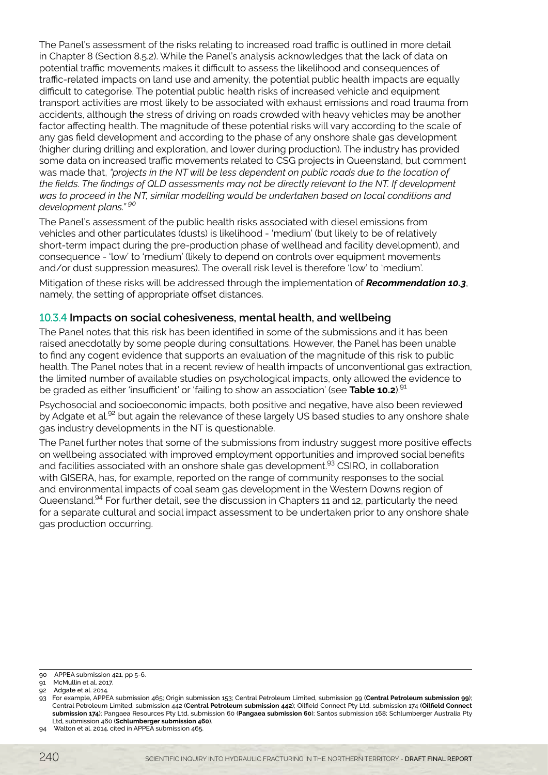The Panel's assessment of the risks relating to increased road traffic is outlined in more detail in Chapter 8 (Section 8.5.2). While the Panel's analysis acknowledges that the lack of data on potential traffic movements makes it difficult to assess the likelihood and consequences of traffic-related impacts on land use and amenity, the potential public health impacts are equally difficult to categorise. The potential public health risks of increased vehicle and equipment transport activities are most likely to be associated with exhaust emissions and road trauma from accidents, although the stress of driving on roads crowded with heavy vehicles may be another factor affecting health. The magnitude of these potential risks will vary according to the scale of any gas field development and according to the phase of any onshore shale gas development (higher during drilling and exploration, and lower during production). The industry has provided some data on increased traffic movements related to CSG projects in Queensland, but comment was made that, *"projects in the NT will be less dependent on public roads due to the location of the fields. The findings of QLD assessments may not be directly relevant to the NT. If development was to proceed in the NT, similar modelling would be undertaken based on local conditions and development plans." 90*

The Panel's assessment of the public health risks associated with diesel emissions from vehicles and other particulates (dusts) is likelihood - 'medium' (but likely to be of relatively short-term impact during the pre-production phase of wellhead and facility development), and consequence - 'low' to 'medium' (likely to depend on controls over equipment movements and/or dust suppression measures). The overall risk level is therefore 'low' to 'medium'.

Mitigation of these risks will be addressed through the implementation of *Recommendation 10.3*, namely, the setting of appropriate offset distances.

# 10.3.4 **Impacts on social cohesiveness, mental health, and wellbeing**

The Panel notes that this risk has been identified in some of the submissions and it has been raised anecdotally by some people during consultations. However, the Panel has been unable to find any cogent evidence that supports an evaluation of the magnitude of this risk to public health. The Panel notes that in a recent review of health impacts of unconventional gas extraction, the limited number of available studies on psychological impacts, only allowed the evidence to be graded as either 'insufficient' or 'failing to show an association' (see **Table 10.2**).91

Psychosocial and socioeconomic impacts, both positive and negative, have also been reviewed by Adgate et al.<sup>92</sup> but again the relevance of these largely US based studies to any onshore shale gas industry developments in the NT is questionable.

The Panel further notes that some of the submissions from industry suggest more positive effects on wellbeing associated with improved employment opportunities and improved social benefits and facilities associated with an onshore shale gas development.<sup>93</sup> CSIRO, in collaboration with GISERA, has, for example, reported on the range of community responses to the social and environmental impacts of coal seam gas development in the Western Downs region of Queensland.94 For further detail, see the discussion in Chapters 11 and 12, particularly the need for a separate cultural and social impact assessment to be undertaken prior to any onshore shale gas production occurring.

<sup>90</sup> APPEA submission 421, pp 5-6.

<sup>91</sup> McMullin et al. 2017.

<sup>92</sup> Adgate et al. 2014.

<sup>93</sup> For example, APPEA submission 465; Origin submission 153; Central Petroleum Limited, submission 99 (**Central Petroleum submission 99**); Central Petroleum Limited, submission 442 (**Central Petroleum submission 442**); Oilfield Connect Pty Ltd, submission 174 (**Oilfield Connect submission 174**); Pangaea Resources Pty Ltd, submission 60 (**Pangaea submission 60**); Santos submission 168; Schlumberger Australia Pty Ltd, submission 460 (**Schlumberger submission 460**).

<sup>94</sup> Walton et al. 2014, cited in APPEA submission 465.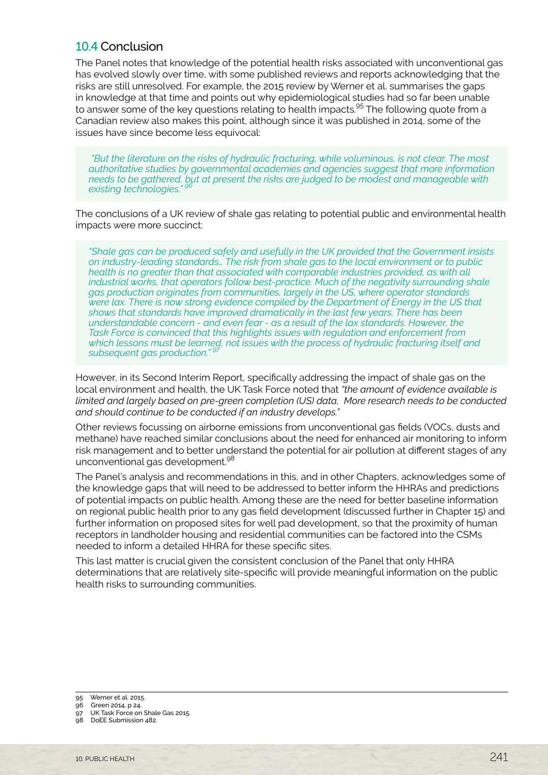# <span id="page-20-0"></span>10.4 Conclusion

The Panel notes that knowledge of the potential health risks associated with unconventional gas has evolved slowly over time, with some published reviews and reports acknowledging that the risks are still unresolved. For example, the 2015 review by Werner et al. summarises the gaps in knowledge at that time and points out why epidemiological studies had so far been unable to answer some of the key questions relating to health impacts.<sup>95</sup> The following quote from a Canadian review also makes this point, although since it was published in 2014, some of the issues have since become less equivocal:

 *"But the literature on the risks of hydraulic fracturing, while voluminous, is not clear. The most authoritative studies by governmental academies and agencies suggest that more information needs to be gathered, but at present the risks are judged to be modest and manageable with existing technologies." 96*

The conclusions of a UK review of shale gas relating to potential public and environmental health impacts were more succinct:

*"Shale gas can be produced safely and usefully in the UK provided that the Government insists on industry-leading standards… The risk from shale gas to the local environment or to public health is no greater than that associated with comparable industries provided, as with all industrial works, that operators follow best-practice. Much of the negativity surrounding shale gas production originates from communities, largely in the US, where operator standards were lax. There is now strong evidence compiled by the Department of Energy in the US that shows that standards have improved dramatically in the last few years. There has been understandable concern - and even fear - as a result of the lax standards. However, the Task Force is convinced that this highlights issues with regulation and enforcement from which lessons must be learned, not issues with the process of hydraulic fracturing itself and*  subsequent gas production."

However, in its Second Interim Report, specifically addressing the impact of shale gas on the local environment and health, the UK Task Force noted that *"the amount of evidence available is limited and largely based on pre-green completion (US) data, More research needs to be conducted and should continue to be conducted if an industry develops."* 

Other reviews focussing on airborne emissions from unconventional gas fields (VOCs, dusts and methane) have reached similar conclusions about the need for enhanced air monitoring to inform risk management and to better understand the potential for air pollution at different stages of any unconventional gas development.<sup>98</sup>

The Panel's analysis and recommendations in this, and in other Chapters, acknowledges some of the knowledge gaps that will need to be addressed to better inform the HHRAs and predictions of potential impacts on public health. Among these are the need for better baseline information on regional public health prior to any gas field development (discussed further in Chapter 15) and further information on proposed sites for well pad development, so that the proximity of human receptors in landholder housing and residential communities can be factored into the CSMs needed to inform a detailed HHRA for these specific sites.

This last matter is crucial given the consistent conclusion of the Panel that only HHRA determinations that are relatively site-specific will provide meaningful information on the public health risks to surrounding communities.

- 95 Werner et al. 2015.
- 96 Green 2014, p 24.
- 97 UK Task Force on Shale Gas 2015.
- 98 DoEE Submission 482.